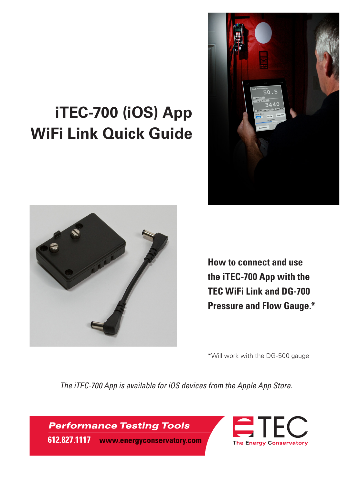# **iTEC-700 (iOS) App WiFi Link Quick Guide**





**How to connect and use the iTEC-700 App with the TEC WiFi Link and DG-700 Pressure and Flow Gauge.\***

\*Will work with the DG-500 gauge

*The iTEC-700 App is available for iOS devices from the Apple App Store.*

**Performance Testing Tools** 



612.827.1117 | www.energyconservatory.com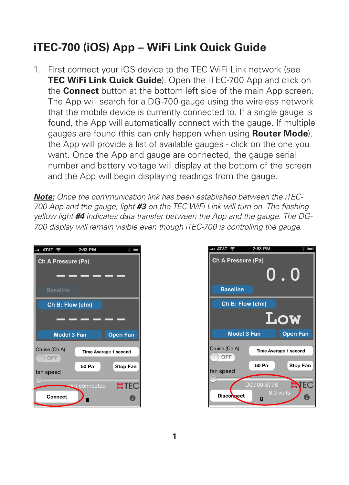# **iTEC-700 (iOS) App – WiFi Link Quick Guide**

1. First connect your iOS device to the TEC WiFi Link network (see **TEC WiFi Link Quick Guide**). Open the iTEC-700 App and click on the **Connect** button at the bottom left side of the main App screen. The App will search for a DG-700 gauge using the wireless network that the mobile device is currently connected to. If a single gauge is found, the App will automatically connect with the gauge. If multiple gauges are found (this can only happen when using **Router Mode**), the App will provide a list of available gauges - click on the one you want. Once the App and gauge are connected, the gauge serial number and battery voltage will display at the bottom of the screen and the App will begin displaying readings from the gauge.

*Note: Once the communication link has been established between the iTEC-700 App and the gauge, light #3 on the TEC WiFi Link will turn on. The flashing yellow light #4 indicates data transfer between the App and the gauge. The DG-700 display will remain visible even though iTEC-700 is controlling the gauge.* 



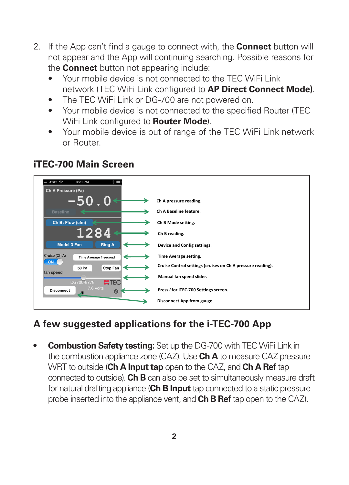- 2. If the App can't find a gauge to connect with, the **Connect** button will not appear and the App will continuing searching. Possible reasons for the **Connect** button not appearing include:
	- Your mobile device is not connected to the TEC WiFi Link network (TEC WiFi Link configured to **AP Direct Connect Mode)**.
	- The TEC WiFi Link or DG-700 are not powered on.
	- Your mobile device is not connected to the specified Router (TEC WiFi Link configured to **Router Mode**).
	- Your mobile device is out of range of the TEC WiFi Link network or Router.

| $-$ T&T $\approx$<br>3:20 PM<br>Ch A Pressure (Pa) |                                                             |
|----------------------------------------------------|-------------------------------------------------------------|
| $-50$ . $0$                                        | Ch A pressure reading.                                      |
| <b>Baseline</b>                                    | Ch A Baseline feature.                                      |
| Ch B: Flow (cfm)                                   | Ch B Mode setting.                                          |
| 1284                                               | Ch B reading.                                               |
| Model 3 Fan<br><b>Ring A</b>                       | Device and Config settings.                                 |
| Cruise (Ch A)<br>Time Average 1 second             | Time Average setting.                                       |
| ON.<br>Stop Fan<br>50 Pa                           | Cruise Control settings (cruises on Ch A pressure reading). |
| fan speed<br><b>ETEC</b><br>DG700-8778             | Manual fan speed slider.                                    |
| 7.6 volts<br><b>Disconnect</b><br>$\boldsymbol{0}$ | Press i for iTEC-700 Settings screen.                       |
|                                                    | Disconnect App from gauge.                                  |

#### **iTEC-700 Main Screen**

## **A few suggested applications for the i-TEC-700 App**

**• Combustion Safety testing:** Set up the DG-700 with TEC WiFi Link in the combustion appliance zone (CAZ). Use **Ch A** to measure CAZ pressure WRT to outside (**Ch A Input tap** open to the CAZ, and **Ch A Ref** tap connected to outside). **Ch B** can also be set to simultaneously measure draft for natural drafting appliance (**Ch B Input** tap connected to a static pressure probe inserted into the appliance vent, and **Ch B Ref** tap open to the CAZ).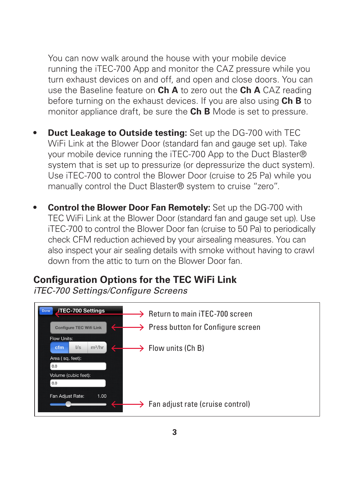You can now walk around the house with your mobile device running the iTEC-700 App and monitor the CAZ pressure while you turn exhaust devices on and off, and open and close doors. You can use the Baseline feature on **Ch A** to zero out the **Ch A** CAZ reading before turning on the exhaust devices. If you are also using **Ch B** to monitor appliance draft, be sure the **Ch B** Mode is set to pressure.

- **Duct Leakage to Outside testing:** Set up the DG-700 with TEC WiFi Link at the Blower Door (standard fan and gauge set up). Take your mobile device running the iTEC-700 App to the Duct Blaster® system that is set up to pressurize (or depressurize the duct system). Use iTEC-700 to control the Blower Door (cruise to 25 Pa) while you manually control the Duct Blaster® system to cruise "zero".
- **• Control the Blower Door Fan Remotely:** Set up the DG-700 with TEC WiFi Link at the Blower Door (standard fan and gauge set up). Use iTEC-700 to control the Blower Door fan (cruise to 50 Pa) to periodically check CFM reduction achieved by your airsealing measures. You can also inspect your air sealing details with smoke without having to crawl down from the attic to turn on the Blower Door fan.

## **Configuration Options for the TEC WiFi Link**

*iTEC-700 Settings/Configure Screens*

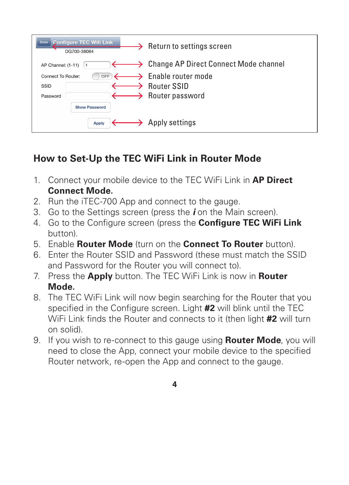| <b>Configure TEC Wifi Link</b><br>Done<br>DG700-38084                  | Return to settings screen                                                                          |
|------------------------------------------------------------------------|----------------------------------------------------------------------------------------------------|
| AP Channel: (1-11)                                                     | $\longrightarrow$ Change AP Direct Connect Mode channel                                            |
| Connect To Router:<br>OFF.<br>SSID<br>Password<br><b>Show Password</b> | $\longrightarrow$ Enable router mode<br>$\rightarrow$ Router SSID<br>$\rightarrow$ Router password |
| <b>Apply</b>                                                           | $\rightarrow$ Apply settings                                                                       |

# **How to Set-Up the TEC WiFi Link in Router Mode**

- 1. Connect your mobile device to the TEC WiFi Link in **AP Direct Connect Mode.**
- 2. Run the iTEC-700 App and connect to the gauge.
- 3. Go to the Settings screen (press the *i* on the Main screen).
- 4. Go to the Configure screen (press the **Configure TEC WiFi Link** button).
- 5. Enable **Router Mode** (turn on the **Connect To Router** button).
- 6. Enter the Router SSID and Password (these must match the SSID and Password for the Router you will connect to).
- 7. Press the **Apply** button. The TEC WiFi Link is now in **Router Mode.**
- 8. The TEC WiFi Link will now begin searching for the Router that you specified in the Configure screen. Light **#2** will blink until the TEC WiFi Link finds the Router and connects to it (then light **#2** will turn on solid).
- 9. If you wish to re-connect to this gauge using **Router Mode**, you will need to close the App, connect your mobile device to the specified Router network, re-open the App and connect to the gauge.
	- **4**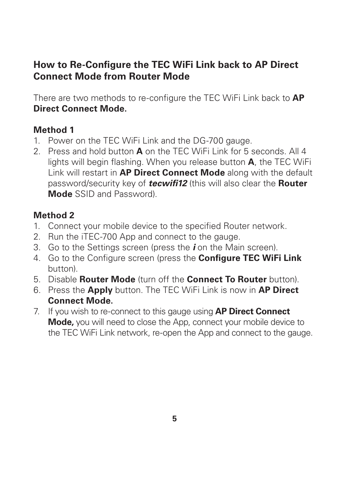#### **How to Re-Configure the TEC WiFi Link back to AP Direct Connect Mode from Router Mode**

There are two methods to re-configure the TEC WiFi Link back to **AP Direct Connect Mode.**

#### **Method 1**

- 1. Power on the TEC WiFi Link and the DG-700 gauge.
- 2. Press and hold button **A** on the TEC WiFi Link for 5 seconds. All 4 lights will begin flashing. When you release button **A**, the TEC WiFi Link will restart in **AP Direct Connect Mode** along with the default password/security key of *tecwifi12* (this will also clear the **Router Mode** SSID and Password).

#### **Method 2**

- 1. Connect your mobile device to the specified Router network.
- 2. Run the iTEC-700 App and connect to the gauge.
- 3. Go to the Settings screen (press the *i* on the Main screen).
- 4. Go to the Configure screen (press the **Configure TEC WiFi Link** button).
- 5. Disable **Router Mode** (turn off the **Connect To Router** button).
- 6. Press the **Apply** button. The TEC WiFi Link is now in **AP Direct Connect Mode.**
- 7. If you wish to re-connect to this gauge using **AP Direct Connect Mode,** you will need to close the App, connect your mobile device to the TEC WiFi Link network, re-open the App and connect to the gauge.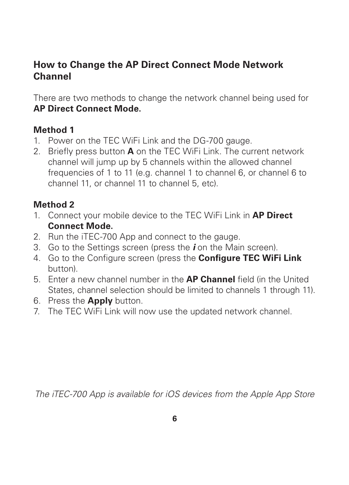#### **How to Change the AP Direct Connect Mode Network Channel**

There are two methods to change the network channel being used for **AP Direct Connect Mode.** 

#### **Method 1**

- 1. Power on the TEC WiFi Link and the DG-700 gauge.
- 2. Briefly press button **A** on the TEC WiFi Link. The current network channel will jump up by 5 channels within the allowed channel frequencies of 1 to 11 (e.g. channel 1 to channel 6, or channel 6 to channel 11, or channel 11 to channel 5, etc).

#### **Method 2**

- 1. Connect your mobile device to the TEC WiFi Link in **AP Direct Connect Mode.**
- 2. Run the iTEC-700 App and connect to the gauge.
- 3. Go to the Settings screen (press the *i* on the Main screen).
- 4. Go to the Configure screen (press the **Configure TEC WiFi Link**  button).
- 5. Enter a new channel number in the **AP Channel** field (in the United States, channel selection should be limited to channels 1 through 11).
- 6. Press the **Apply** button.
- 7. The TEC WiFi Link will now use the updated network channel.

*The iTEC-700 App is available for iOS devices from the Apple App Store*